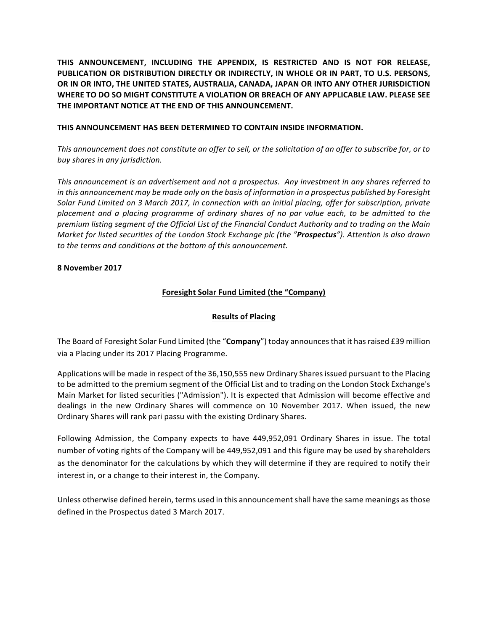THIS ANNOUNCEMENT, INCLUDING THE APPENDIX, IS RESTRICTED AND IS NOT FOR RELEASE, PUBLICATION OR DISTRIBUTION DIRECTLY OR INDIRECTLY, IN WHOLE OR IN PART, TO U.S. PERSONS, OR IN OR INTO, THE UNITED STATES, AUSTRALIA, CANADA, JAPAN OR INTO ANY OTHER JURISDICTION WHERE TO DO SO MIGHT CONSTITUTE A VIOLATION OR BREACH OF ANY APPLICABLE LAW. PLEASE SEE THE IMPORTANT NOTICE AT THE END OF THIS ANNOUNCEMENT.

## **THIS ANNOUNCEMENT HAS BEEN DETERMINED TO CONTAIN INSIDE INFORMATION.**

This announcement does not constitute an offer to sell, or the solicitation of an offer to subscribe for, or to *buy shares in any jurisdiction.*

*This announcement is an advertisement and not a prospectus. Any investment in any shares referred to in* this announcement may be made only on the basis of information in a prospectus published by Foresight *Solar Fund Limited on 3 March 2017, in connection with an initial placing, offer for subscription, private placement and a placing programme of ordinary shares of no par value each, to be admitted to the premium listing segment of the Official List of the Financial Conduct Authority and to trading on the Main Market for listed securities of the London Stock Exchange plc (the "Prospectus"). Attention is also drawn* to the terms and conditions at the bottom of this announcement.

### **8 November 2017**

# **Foresight Solar Fund Limited (the "Company)**

# **Results of Placing**

The Board of Foresight Solar Fund Limited (the "Company") today announces that it has raised £39 million via a Placing under its 2017 Placing Programme.

Applications will be made in respect of the 36,150,555 new Ordinary Shares issued pursuant to the Placing to be admitted to the premium segment of the Official List and to trading on the London Stock Exchange's Main Market for listed securities ("Admission"). It is expected that Admission will become effective and dealings in the new Ordinary Shares will commence on 10 November 2017. When issued, the new Ordinary Shares will rank pari passu with the existing Ordinary Shares.

Following Admission, the Company expects to have 449,952,091 Ordinary Shares in issue. The total number of voting rights of the Company will be 449,952,091 and this figure may be used by shareholders as the denominator for the calculations by which they will determine if they are required to notify their interest in, or a change to their interest in, the Company.

Unless otherwise defined herein, terms used in this announcement shall have the same meanings as those defined in the Prospectus dated 3 March 2017.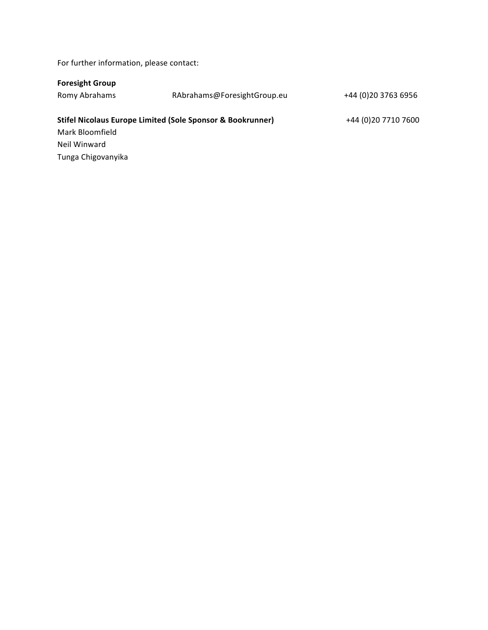For further information, please contact:

| RAbrahams@ForesightGroup.eu                                           | +44 (0) 20 3763 6956 |
|-----------------------------------------------------------------------|----------------------|
| <b>Stifel Nicolaus Europe Limited (Sole Sponsor &amp; Bookrunner)</b> | +44 (0)20 7710 7600  |
|                                                                       |                      |
|                                                                       |                      |
|                                                                       |                      |
|                                                                       |                      |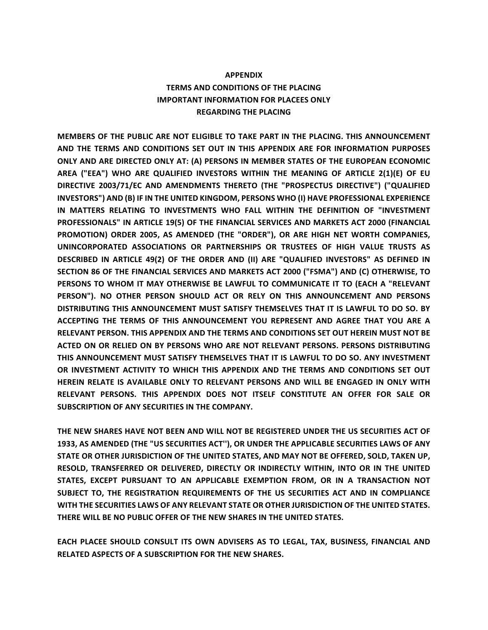# **APPENDIX TERMS AND CONDITIONS OF THE PLACING IMPORTANT INFORMATION FOR PLACEES ONLY REGARDING THE PLACING**

**MEMBERS OF THE PUBLIC ARE NOT ELIGIBLE TO TAKE PART IN THE PLACING. THIS ANNOUNCEMENT** AND THE TERMS AND CONDITIONS SET OUT IN THIS APPENDIX ARE FOR INFORMATION PURPOSES ONLY AND ARE DIRECTED ONLY AT: (A) PERSONS IN MEMBER STATES OF THE EUROPEAN ECONOMIC **AREA ("EEA") WHO ARE QUALIFIED INVESTORS WITHIN THE MEANING OF ARTICLE 2(1)(E) OF EU**  DIRECTIVE 2003/71/EC AND AMENDMENTS THERETO (THE "PROSPECTUS DIRECTIVE") ("QUALIFIED **INVESTORS")** AND (B) IF IN THE UNITED KINGDOM, PERSONS WHO (I) HAVE PROFESSIONAL EXPERIENCE IN MATTERS RELATING TO INVESTMENTS WHO FALL WITHIN THE DEFINITION OF "INVESTMENT PROFESSIONALS" IN ARTICLE 19(5) OF THE FINANCIAL SERVICES AND MARKETS ACT 2000 (FINANCIAL PROMOTION) ORDER 2005, AS AMENDED (THE "ORDER"), OR ARE HIGH NET WORTH COMPANIES, **UNINCORPORATED ASSOCIATIONS OR PARTNERSHIPS OR TRUSTEES OF HIGH VALUE TRUSTS AS DESCRIBED IN ARTICLE 49(2) OF THE ORDER AND (II) ARE "QUALIFIED INVESTORS" AS DEFINED IN** SECTION 86 OF THE FINANCIAL SERVICES AND MARKETS ACT 2000 ("FSMA") AND (C) OTHERWISE, TO PERSONS TO WHOM IT MAY OTHERWISE BE LAWFUL TO COMMUNICATE IT TO (EACH A "RELEVANT **PERSON"). NO OTHER PERSON SHOULD ACT OR RELY ON THIS ANNOUNCEMENT AND PERSONS** DISTRIBUTING THIS ANNOUNCEMENT MUST SATISFY THEMSELVES THAT IT IS LAWFUL TO DO SO. BY ACCEPTING THE TERMS OF THIS ANNOUNCEMENT YOU REPRESENT AND AGREE THAT YOU ARE A **RELEVANT PERSON. THIS APPENDIX AND THE TERMS AND CONDITIONS SET OUT HEREIN MUST NOT BE** ACTED ON OR RELIED ON BY PERSONS WHO ARE NOT RELEVANT PERSONS. PERSONS DISTRIBUTING THIS ANNOUNCEMENT MUST SATISFY THEMSELVES THAT IT IS LAWFUL TO DO SO. ANY INVESTMENT OR INVESTMENT ACTIVITY TO WHICH THIS APPENDIX AND THE TERMS AND CONDITIONS SET OUT HEREIN RELATE IS AVAILABLE ONLY TO RELEVANT PERSONS AND WILL BE ENGAGED IN ONLY WITH RELEVANT PERSONS. THIS APPENDIX DOES NOT ITSELF CONSTITUTE AN OFFER FOR SALE OR **SUBSCRIPTION OF ANY SECURITIES IN THE COMPANY.** 

THE NEW SHARES HAVE NOT BEEN AND WILL NOT BE REGISTERED UNDER THE US SECURITIES ACT OF 1933, AS AMENDED (THE "US SECURITIES ACT"), OR UNDER THE APPLICABLE SECURITIES LAWS OF ANY STATE OR OTHER JURISDICTION OF THE UNITED STATES, AND MAY NOT BE OFFERED, SOLD, TAKEN UP, RESOLD, TRANSFERRED OR DELIVERED, DIRECTLY OR INDIRECTLY WITHIN, INTO OR IN THE UNITED STATES, EXCEPT PURSUANT TO AN APPLICABLE EXEMPTION FROM, OR IN A TRANSACTION NOT SUBJECT TO, THE REGISTRATION REQUIREMENTS OF THE US SECURITIES ACT AND IN COMPLIANCE WITH THE SECURITIES LAWS OF ANY RELEVANT STATE OR OTHER JURISDICTION OF THE UNITED STATES. **THERE WILL BE NO PUBLIC OFFER OF THE NEW SHARES IN THE UNITED STATES.** 

**EACH PLACEE SHOULD CONSULT ITS OWN ADVISERS AS TO LEGAL, TAX, BUSINESS, FINANCIAL AND RELATED ASPECTS OF A SUBSCRIPTION FOR THE NEW SHARES.**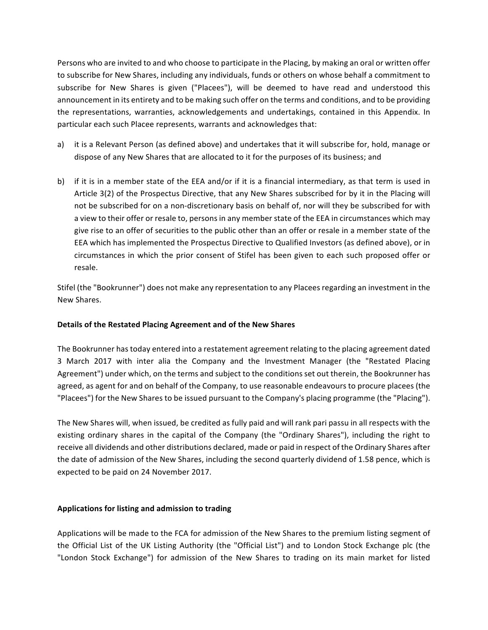Persons who are invited to and who choose to participate in the Placing, by making an oral or written offer to subscribe for New Shares, including any individuals, funds or others on whose behalf a commitment to subscribe for New Shares is given ("Placees"), will be deemed to have read and understood this announcement in its entirety and to be making such offer on the terms and conditions, and to be providing the representations, warranties, acknowledgements and undertakings, contained in this Appendix. In particular each such Placee represents, warrants and acknowledges that:

- a) it is a Relevant Person (as defined above) and undertakes that it will subscribe for, hold, manage or dispose of any New Shares that are allocated to it for the purposes of its business; and
- b) if it is in a member state of the EEA and/or if it is a financial intermediary, as that term is used in Article 3(2) of the Prospectus Directive, that any New Shares subscribed for by it in the Placing will not be subscribed for on a non-discretionary basis on behalf of, nor will they be subscribed for with a view to their offer or resale to, persons in any member state of the EEA in circumstances which may give rise to an offer of securities to the public other than an offer or resale in a member state of the EEA which has implemented the Prospectus Directive to Qualified Investors (as defined above), or in circumstances in which the prior consent of Stifel has been given to each such proposed offer or resale.

Stifel (the "Bookrunner") does not make any representation to any Placees regarding an investment in the New Shares.

# **Details of the Restated Placing Agreement and of the New Shares**

The Bookrunner has today entered into a restatement agreement relating to the placing agreement dated 3 March 2017 with inter alia the Company and the Investment Manager (the "Restated Placing Agreement") under which, on the terms and subject to the conditions set out therein, the Bookrunner has agreed, as agent for and on behalf of the Company, to use reasonable endeavours to procure placees (the "Placees") for the New Shares to be issued pursuant to the Company's placing programme (the "Placing").

The New Shares will, when issued, be credited as fully paid and will rank pari passu in all respects with the existing ordinary shares in the capital of the Company (the "Ordinary Shares"), including the right to receive all dividends and other distributions declared, made or paid in respect of the Ordinary Shares after the date of admission of the New Shares, including the second quarterly dividend of 1.58 pence, which is expected to be paid on 24 November 2017.

# Applications for listing and admission to trading

Applications will be made to the FCA for admission of the New Shares to the premium listing segment of the Official List of the UK Listing Authority (the "Official List") and to London Stock Exchange plc (the "London Stock Exchange") for admission of the New Shares to trading on its main market for listed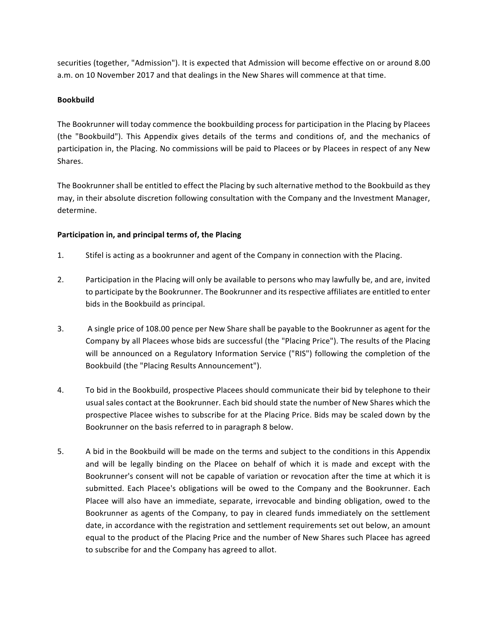securities (together, "Admission"). It is expected that Admission will become effective on or around 8.00 a.m. on 10 November 2017 and that dealings in the New Shares will commence at that time.

# **Bookbuild**

The Bookrunner will today commence the bookbuilding process for participation in the Placing by Placees (the "Bookbuild"). This Appendix gives details of the terms and conditions of, and the mechanics of participation in, the Placing. No commissions will be paid to Placees or by Placees in respect of any New Shares.

The Bookrunner shall be entitled to effect the Placing by such alternative method to the Bookbuild as they may, in their absolute discretion following consultation with the Company and the Investment Manager, determine.

# Participation in, and principal terms of, the Placing

- 1. Stifel is acting as a bookrunner and agent of the Company in connection with the Placing.
- 2. Participation in the Placing will only be available to persons who may lawfully be, and are, invited to participate by the Bookrunner. The Bookrunner and its respective affiliates are entitled to enter bids in the Bookbuild as principal.
- 3. A single price of 108.00 pence per New Share shall be payable to the Bookrunner as agent for the Company by all Placees whose bids are successful (the "Placing Price"). The results of the Placing will be announced on a Regulatory Information Service ("RIS") following the completion of the Bookbuild (the "Placing Results Announcement").
- 4. To bid in the Bookbuild, prospective Placees should communicate their bid by telephone to their usual sales contact at the Bookrunner. Each bid should state the number of New Shares which the prospective Placee wishes to subscribe for at the Placing Price. Bids may be scaled down by the Bookrunner on the basis referred to in paragraph 8 below.
- 5. A bid in the Bookbuild will be made on the terms and subject to the conditions in this Appendix and will be legally binding on the Placee on behalf of which it is made and except with the Bookrunner's consent will not be capable of variation or revocation after the time at which it is submitted. Each Placee's obligations will be owed to the Company and the Bookrunner. Each Placee will also have an immediate, separate, irrevocable and binding obligation, owed to the Bookrunner as agents of the Company, to pay in cleared funds immediately on the settlement date, in accordance with the registration and settlement requirements set out below, an amount equal to the product of the Placing Price and the number of New Shares such Placee has agreed to subscribe for and the Company has agreed to allot.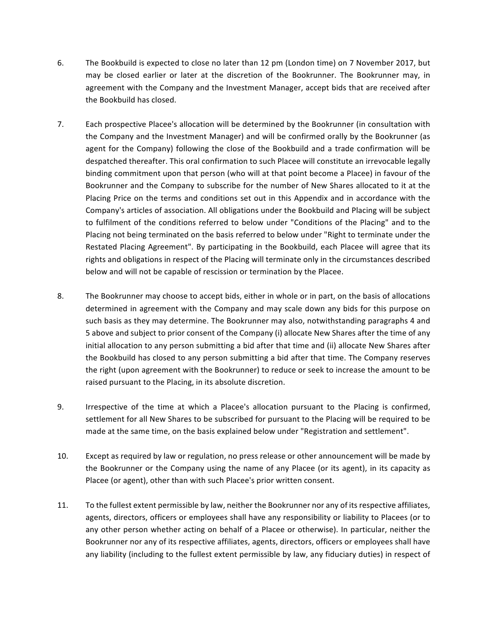- 6. The Bookbuild is expected to close no later than 12 pm (London time) on 7 November 2017, but may be closed earlier or later at the discretion of the Bookrunner. The Bookrunner may, in agreement with the Company and the Investment Manager, accept bids that are received after the Bookbuild has closed.
- 7. Each prospective Placee's allocation will be determined by the Bookrunner (in consultation with the Company and the Investment Manager) and will be confirmed orally by the Bookrunner (as agent for the Company) following the close of the Bookbuild and a trade confirmation will be despatched thereafter. This oral confirmation to such Placee will constitute an irrevocable legally binding commitment upon that person (who will at that point become a Placee) in favour of the Bookrunner and the Company to subscribe for the number of New Shares allocated to it at the Placing Price on the terms and conditions set out in this Appendix and in accordance with the Company's articles of association. All obligations under the Bookbuild and Placing will be subject to fulfilment of the conditions referred to below under "Conditions of the Placing" and to the Placing not being terminated on the basis referred to below under "Right to terminate under the Restated Placing Agreement". By participating in the Bookbuild, each Placee will agree that its rights and obligations in respect of the Placing will terminate only in the circumstances described below and will not be capable of rescission or termination by the Placee.
- 8. The Bookrunner may choose to accept bids, either in whole or in part, on the basis of allocations determined in agreement with the Company and may scale down any bids for this purpose on such basis as they may determine. The Bookrunner may also, notwithstanding paragraphs 4 and 5 above and subject to prior consent of the Company (i) allocate New Shares after the time of any initial allocation to any person submitting a bid after that time and (ii) allocate New Shares after the Bookbuild has closed to any person submitting a bid after that time. The Company reserves the right (upon agreement with the Bookrunner) to reduce or seek to increase the amount to be raised pursuant to the Placing, in its absolute discretion.
- 9. Irrespective of the time at which a Placee's allocation pursuant to the Placing is confirmed, settlement for all New Shares to be subscribed for pursuant to the Placing will be required to be made at the same time, on the basis explained below under "Registration and settlement".
- 10. Except as required by law or regulation, no press release or other announcement will be made by the Bookrunner or the Company using the name of any Placee (or its agent), in its capacity as Placee (or agent), other than with such Placee's prior written consent.
- 11. To the fullest extent permissible by law, neither the Bookrunner nor any of its respective affiliates, agents, directors, officers or employees shall have any responsibility or liability to Placees (or to any other person whether acting on behalf of a Placee or otherwise). In particular, neither the Bookrunner nor any of its respective affiliates, agents, directors, officers or employees shall have any liability (including to the fullest extent permissible by law, any fiduciary duties) in respect of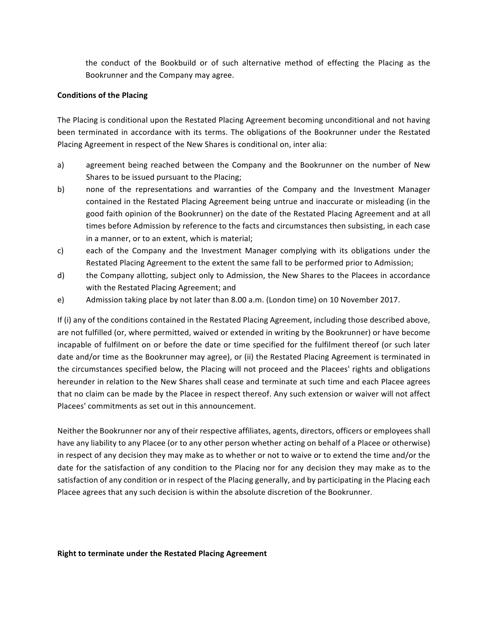the conduct of the Bookbuild or of such alternative method of effecting the Placing as the Bookrunner and the Company may agree.

### **Conditions of the Placing**

The Placing is conditional upon the Restated Placing Agreement becoming unconditional and not having been terminated in accordance with its terms. The obligations of the Bookrunner under the Restated Placing Agreement in respect of the New Shares is conditional on, inter alia:

- a) agreement being reached between the Company and the Bookrunner on the number of New Shares to be issued pursuant to the Placing;
- b) none of the representations and warranties of the Company and the Investment Manager contained in the Restated Placing Agreement being untrue and inaccurate or misleading (in the good faith opinion of the Bookrunner) on the date of the Restated Placing Agreement and at all times before Admission by reference to the facts and circumstances then subsisting, in each case in a manner, or to an extent, which is material;
- c) each of the Company and the Investment Manager complying with its obligations under the Restated Placing Agreement to the extent the same fall to be performed prior to Admission;
- d) the Company allotting, subject only to Admission, the New Shares to the Placees in accordance with the Restated Placing Agreement; and
- e) Admission taking place by not later than 8.00 a.m. (London time) on 10 November 2017.

If (i) any of the conditions contained in the Restated Placing Agreement, including those described above, are not fulfilled (or, where permitted, waived or extended in writing by the Bookrunner) or have become incapable of fulfilment on or before the date or time specified for the fulfilment thereof (or such later date and/or time as the Bookrunner may agree), or (ii) the Restated Placing Agreement is terminated in the circumstances specified below, the Placing will not proceed and the Placees' rights and obligations hereunder in relation to the New Shares shall cease and terminate at such time and each Placee agrees that no claim can be made by the Placee in respect thereof. Any such extension or waiver will not affect Placees' commitments as set out in this announcement.

Neither the Bookrunner nor any of their respective affiliates, agents, directors, officers or employees shall have any liability to any Placee (or to any other person whether acting on behalf of a Placee or otherwise) in respect of any decision they may make as to whether or not to waive or to extend the time and/or the date for the satisfaction of any condition to the Placing nor for any decision they may make as to the satisfaction of any condition or in respect of the Placing generally, and by participating in the Placing each Placee agrees that any such decision is within the absolute discretion of the Bookrunner.

#### **Right to terminate under the Restated Placing Agreement**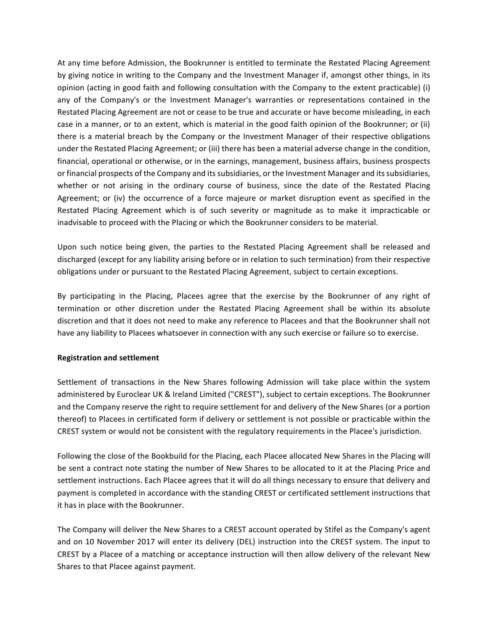At any time before Admission, the Bookrunner is entitled to terminate the Restated Placing Agreement by giving notice in writing to the Company and the Investment Manager if, amongst other things, in its opinion (acting in good faith and following consultation with the Company to the extent practicable) (i) any of the Company's or the Investment Manager's warranties or representations contained in the Restated Placing Agreement are not or cease to be true and accurate or have become misleading, in each case in a manner, or to an extent, which is material in the good faith opinion of the Bookrunner; or (ii) there is a material breach by the Company or the Investment Manager of their respective obligations under the Restated Placing Agreement; or (iii) there has been a material adverse change in the condition, financial, operational or otherwise, or in the earnings, management, business affairs, business prospects or financial prospects of the Company and its subsidiaries, or the Investment Manager and its subsidiaries, whether or not arising in the ordinary course of business, since the date of the Restated Placing Agreement; or (iv) the occurrence of a force majeure or market disruption event as specified in the Restated Placing Agreement which is of such severity or magnitude as to make it impracticable or inadvisable to proceed with the Placing or which the Bookrunner considers to be material.

Upon such notice being given, the parties to the Restated Placing Agreement shall be released and discharged (except for any liability arising before or in relation to such termination) from their respective obligations under or pursuant to the Restated Placing Agreement, subject to certain exceptions.

By participating in the Placing, Placees agree that the exercise by the Bookrunner of any right of termination or other discretion under the Restated Placing Agreement shall be within its absolute discretion and that it does not need to make any reference to Placees and that the Bookrunner shall not have any liability to Placees whatsoever in connection with any such exercise or failure so to exercise.

# **Registration and settlement**

Settlement of transactions in the New Shares following Admission will take place within the system administered by Euroclear UK & Ireland Limited ("CREST"), subject to certain exceptions. The Bookrunner and the Company reserve the right to require settlement for and delivery of the New Shares (or a portion thereof) to Placees in certificated form if delivery or settlement is not possible or practicable within the CREST system or would not be consistent with the regulatory requirements in the Placee's jurisdiction.

Following the close of the Bookbuild for the Placing, each Placee allocated New Shares in the Placing will be sent a contract note stating the number of New Shares to be allocated to it at the Placing Price and settlement instructions. Each Placee agrees that it will do all things necessary to ensure that delivery and payment is completed in accordance with the standing CREST or certificated settlement instructions that it has in place with the Bookrunner.

The Company will deliver the New Shares to a CREST account operated by Stifel as the Company's agent and on 10 November 2017 will enter its delivery (DEL) instruction into the CREST system. The input to CREST by a Placee of a matching or acceptance instruction will then allow delivery of the relevant New Shares to that Placee against payment.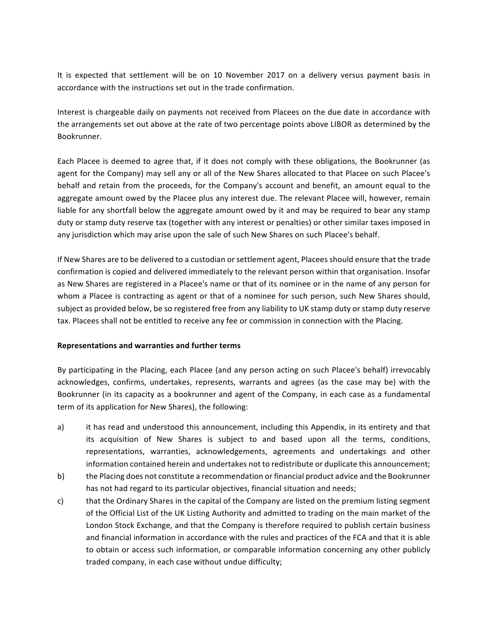It is expected that settlement will be on 10 November 2017 on a delivery versus payment basis in accordance with the instructions set out in the trade confirmation.

Interest is chargeable daily on payments not received from Placees on the due date in accordance with the arrangements set out above at the rate of two percentage points above LIBOR as determined by the Bookrunner.

Each Placee is deemed to agree that, if it does not comply with these obligations, the Bookrunner (as agent for the Company) may sell any or all of the New Shares allocated to that Placee on such Placee's behalf and retain from the proceeds, for the Company's account and benefit, an amount equal to the aggregate amount owed by the Placee plus any interest due. The relevant Placee will, however, remain liable for any shortfall below the aggregate amount owed by it and may be required to bear any stamp duty or stamp duty reserve tax (together with any interest or penalties) or other similar taxes imposed in any jurisdiction which may arise upon the sale of such New Shares on such Placee's behalf.

If New Shares are to be delivered to a custodian or settlement agent, Placees should ensure that the trade confirmation is copied and delivered immediately to the relevant person within that organisation. Insofar as New Shares are registered in a Placee's name or that of its nominee or in the name of any person for whom a Placee is contracting as agent or that of a nominee for such person, such New Shares should, subject as provided below, be so registered free from any liability to UK stamp duty or stamp duty reserve tax. Placees shall not be entitled to receive any fee or commission in connection with the Placing.

# **Representations and warranties and further terms**

By participating in the Placing, each Placee (and any person acting on such Placee's behalf) irrevocably acknowledges, confirms, undertakes, represents, warrants and agrees (as the case may be) with the Bookrunner (in its capacity as a bookrunner and agent of the Company, in each case as a fundamental term of its application for New Shares), the following:

- a) it has read and understood this announcement, including this Appendix, in its entirety and that its acquisition of New Shares is subject to and based upon all the terms, conditions, representations, warranties, acknowledgements, agreements and undertakings and other information contained herein and undertakes not to redistribute or duplicate this announcement;
- b) the Placing does not constitute a recommendation or financial product advice and the Bookrunner has not had regard to its particular objectives, financial situation and needs;
- c) that the Ordinary Shares in the capital of the Company are listed on the premium listing segment of the Official List of the UK Listing Authority and admitted to trading on the main market of the London Stock Exchange, and that the Company is therefore required to publish certain business and financial information in accordance with the rules and practices of the FCA and that it is able to obtain or access such information, or comparable information concerning any other publicly traded company, in each case without undue difficulty;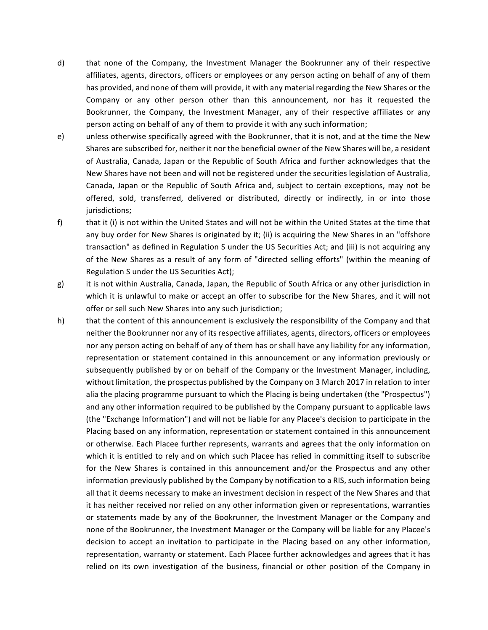- d) that none of the Company, the Investment Manager the Bookrunner any of their respective affiliates, agents, directors, officers or employees or any person acting on behalf of any of them has provided, and none of them will provide, it with any material regarding the New Shares or the Company or any other person other than this announcement, nor has it requested the Bookrunner, the Company, the Investment Manager, any of their respective affiliates or any person acting on behalf of any of them to provide it with any such information;
- e) unless otherwise specifically agreed with the Bookrunner, that it is not, and at the time the New Shares are subscribed for, neither it nor the beneficial owner of the New Shares will be, a resident of Australia, Canada, Japan or the Republic of South Africa and further acknowledges that the New Shares have not been and will not be registered under the securities legislation of Australia, Canada, Japan or the Republic of South Africa and, subject to certain exceptions, may not be offered, sold, transferred, delivered or distributed, directly or indirectly, in or into those jurisdictions;
- f) that it (i) is not within the United States and will not be within the United States at the time that any buy order for New Shares is originated by it; (ii) is acquiring the New Shares in an "offshore transaction" as defined in Regulation S under the US Securities Act; and (iii) is not acquiring any of the New Shares as a result of any form of "directed selling efforts" (within the meaning of Regulation S under the US Securities Act);
- g) it is not within Australia, Canada, Japan, the Republic of South Africa or any other jurisdiction in which it is unlawful to make or accept an offer to subscribe for the New Shares, and it will not offer or sell such New Shares into any such jurisdiction;
- h) that the content of this announcement is exclusively the responsibility of the Company and that neither the Bookrunner nor any of its respective affiliates, agents, directors, officers or employees nor any person acting on behalf of any of them has or shall have any liability for any information, representation or statement contained in this announcement or any information previously or subsequently published by or on behalf of the Company or the Investment Manager, including, without limitation, the prospectus published by the Company on 3 March 2017 in relation to inter alia the placing programme pursuant to which the Placing is being undertaken (the "Prospectus") and any other information required to be published by the Company pursuant to applicable laws (the "Exchange Information") and will not be liable for any Placee's decision to participate in the Placing based on any information, representation or statement contained in this announcement or otherwise. Each Placee further represents, warrants and agrees that the only information on which it is entitled to rely and on which such Placee has relied in committing itself to subscribe for the New Shares is contained in this announcement and/or the Prospectus and any other information previously published by the Company by notification to a RIS, such information being all that it deems necessary to make an investment decision in respect of the New Shares and that it has neither received nor relied on any other information given or representations, warranties or statements made by any of the Bookrunner, the Investment Manager or the Company and none of the Bookrunner, the Investment Manager or the Company will be liable for any Placee's decision to accept an invitation to participate in the Placing based on any other information, representation, warranty or statement. Each Placee further acknowledges and agrees that it has relied on its own investigation of the business, financial or other position of the Company in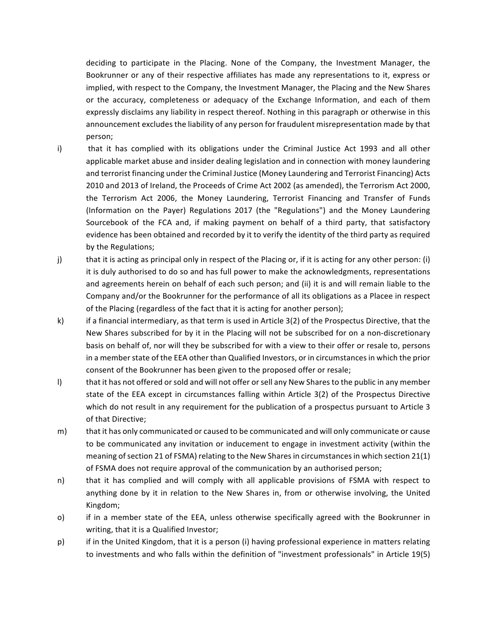deciding to participate in the Placing. None of the Company, the Investment Manager, the Bookrunner or any of their respective affiliates has made any representations to it, express or implied, with respect to the Company, the Investment Manager, the Placing and the New Shares or the accuracy, completeness or adequacy of the Exchange Information, and each of them expressly disclaims any liability in respect thereof. Nothing in this paragraph or otherwise in this announcement excludes the liability of any person for fraudulent misrepresentation made by that person;

- i) that it has complied with its obligations under the Criminal Justice Act 1993 and all other applicable market abuse and insider dealing legislation and in connection with money laundering and terrorist financing under the Criminal Justice (Money Laundering and Terrorist Financing) Acts 2010 and 2013 of Ireland, the Proceeds of Crime Act 2002 (as amended), the Terrorism Act 2000, the Terrorism Act 2006, the Money Laundering, Terrorist Financing and Transfer of Funds (Information on the Payer) Regulations 2017 (the "Regulations") and the Money Laundering Sourcebook of the FCA and, if making payment on behalf of a third party, that satisfactory evidence has been obtained and recorded by it to verify the identity of the third party as required by the Regulations;
- j) that it is acting as principal only in respect of the Placing or, if it is acting for any other person: (i) it is duly authorised to do so and has full power to make the acknowledgments, representations and agreements herein on behalf of each such person; and (ii) it is and will remain liable to the Company and/or the Bookrunner for the performance of all its obligations as a Placee in respect of the Placing (regardless of the fact that it is acting for another person);
- k) if a financial intermediary, as that term is used in Article 3(2) of the Prospectus Directive, that the New Shares subscribed for by it in the Placing will not be subscribed for on a non-discretionary basis on behalf of, nor will they be subscribed for with a view to their offer or resale to, persons in a member state of the EEA other than Qualified Investors, or in circumstances in which the prior consent of the Bookrunner has been given to the proposed offer or resale;
- I) that it has not offered or sold and will not offer or sell any New Shares to the public in any member state of the EEA except in circumstances falling within Article 3(2) of the Prospectus Directive which do not result in any requirement for the publication of a prospectus pursuant to Article 3 of that Directive;
- m) that it has only communicated or caused to be communicated and will only communicate or cause to be communicated any invitation or inducement to engage in investment activity (within the meaning of section 21 of FSMA) relating to the New Shares in circumstances in which section  $21(1)$ of FSMA does not require approval of the communication by an authorised person;
- n) that it has complied and will comply with all applicable provisions of FSMA with respect to anything done by it in relation to the New Shares in, from or otherwise involving, the United Kingdom;
- o) if in a member state of the EEA, unless otherwise specifically agreed with the Bookrunner in writing, that it is a Qualified Investor;
- p) if in the United Kingdom, that it is a person (i) having professional experience in matters relating to investments and who falls within the definition of "investment professionals" in Article 19(5)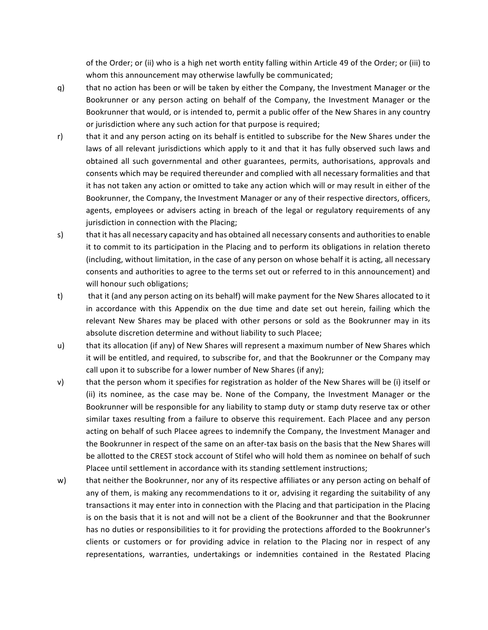of the Order; or (ii) who is a high net worth entity falling within Article 49 of the Order; or (iii) to whom this announcement may otherwise lawfully be communicated;

- q) that no action has been or will be taken by either the Company, the Investment Manager or the Bookrunner or any person acting on behalf of the Company, the Investment Manager or the Bookrunner that would, or is intended to, permit a public offer of the New Shares in any country or jurisdiction where any such action for that purpose is required;
- r) that it and any person acting on its behalf is entitled to subscribe for the New Shares under the laws of all relevant jurisdictions which apply to it and that it has fully observed such laws and obtained all such governmental and other guarantees, permits, authorisations, approvals and consents which may be required thereunder and complied with all necessary formalities and that it has not taken any action or omitted to take any action which will or may result in either of the Bookrunner, the Company, the Investment Manager or any of their respective directors, officers, agents, employees or advisers acting in breach of the legal or regulatory requirements of any jurisdiction in connection with the Placing;
- s) that it has all necessary capacity and has obtained all necessary consents and authorities to enable it to commit to its participation in the Placing and to perform its obligations in relation thereto (including, without limitation, in the case of any person on whose behalf it is acting, all necessary consents and authorities to agree to the terms set out or referred to in this announcement) and will honour such obligations;
- t) that it (and any person acting on its behalf) will make payment for the New Shares allocated to it in accordance with this Appendix on the due time and date set out herein, failing which the relevant New Shares may be placed with other persons or sold as the Bookrunner may in its absolute discretion determine and without liability to such Placee;
- u) that its allocation (if any) of New Shares will represent a maximum number of New Shares which it will be entitled, and required, to subscribe for, and that the Bookrunner or the Company may call upon it to subscribe for a lower number of New Shares (if any);
- v) that the person whom it specifies for registration as holder of the New Shares will be (i) itself or (ii) its nominee, as the case may be. None of the Company, the Investment Manager or the Bookrunner will be responsible for any liability to stamp duty or stamp duty reserve tax or other similar taxes resulting from a failure to observe this requirement. Each Placee and any person acting on behalf of such Placee agrees to indemnify the Company, the Investment Manager and the Bookrunner in respect of the same on an after-tax basis on the basis that the New Shares will be allotted to the CREST stock account of Stifel who will hold them as nominee on behalf of such Placee until settlement in accordance with its standing settlement instructions;
- w) that neither the Bookrunner, nor any of its respective affiliates or any person acting on behalf of any of them, is making any recommendations to it or, advising it regarding the suitability of any transactions it may enter into in connection with the Placing and that participation in the Placing is on the basis that it is not and will not be a client of the Bookrunner and that the Bookrunner has no duties or responsibilities to it for providing the protections afforded to the Bookrunner's clients or customers or for providing advice in relation to the Placing nor in respect of any representations, warranties, undertakings or indemnities contained in the Restated Placing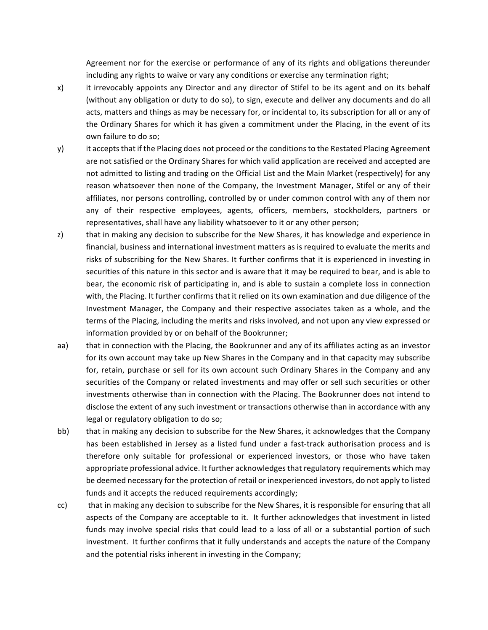Agreement nor for the exercise or performance of any of its rights and obligations thereunder including any rights to waive or vary any conditions or exercise any termination right;

- x) it irrevocably appoints any Director and any director of Stifel to be its agent and on its behalf (without any obligation or duty to do so), to sign, execute and deliver any documents and do all acts, matters and things as may be necessary for, or incidental to, its subscription for all or any of the Ordinary Shares for which it has given a commitment under the Placing, in the event of its own failure to do so;
- y) it accepts that if the Placing does not proceed or the conditions to the Restated Placing Agreement are not satisfied or the Ordinary Shares for which valid application are received and accepted are not admitted to listing and trading on the Official List and the Main Market (respectively) for any reason whatsoever then none of the Company, the Investment Manager, Stifel or any of their affiliates, nor persons controlling, controlled by or under common control with any of them nor any of their respective employees, agents, officers, members, stockholders, partners or representatives, shall have any liability whatsoever to it or any other person;
- z) that in making any decision to subscribe for the New Shares, it has knowledge and experience in financial, business and international investment matters as is required to evaluate the merits and risks of subscribing for the New Shares. It further confirms that it is experienced in investing in securities of this nature in this sector and is aware that it may be required to bear, and is able to bear, the economic risk of participating in, and is able to sustain a complete loss in connection with, the Placing. It further confirms that it relied on its own examination and due diligence of the Investment Manager, the Company and their respective associates taken as a whole, and the terms of the Placing, including the merits and risks involved, and not upon any view expressed or information provided by or on behalf of the Bookrunner;
- aa) that in connection with the Placing, the Bookrunner and any of its affiliates acting as an investor for its own account may take up New Shares in the Company and in that capacity may subscribe for, retain, purchase or sell for its own account such Ordinary Shares in the Company and any securities of the Company or related investments and may offer or sell such securities or other investments otherwise than in connection with the Placing. The Bookrunner does not intend to disclose the extent of any such investment or transactions otherwise than in accordance with any legal or regulatory obligation to do so;
- bb) that in making any decision to subscribe for the New Shares, it acknowledges that the Company has been established in Jersey as a listed fund under a fast-track authorisation process and is therefore only suitable for professional or experienced investors, or those who have taken appropriate professional advice. It further acknowledges that regulatory requirements which may be deemed necessary for the protection of retail or inexperienced investors, do not apply to listed funds and it accepts the reduced requirements accordingly;
- cc) that in making any decision to subscribe for the New Shares, it is responsible for ensuring that all aspects of the Company are acceptable to it. It further acknowledges that investment in listed funds may involve special risks that could lead to a loss of all or a substantial portion of such investment. It further confirms that it fully understands and accepts the nature of the Company and the potential risks inherent in investing in the Company;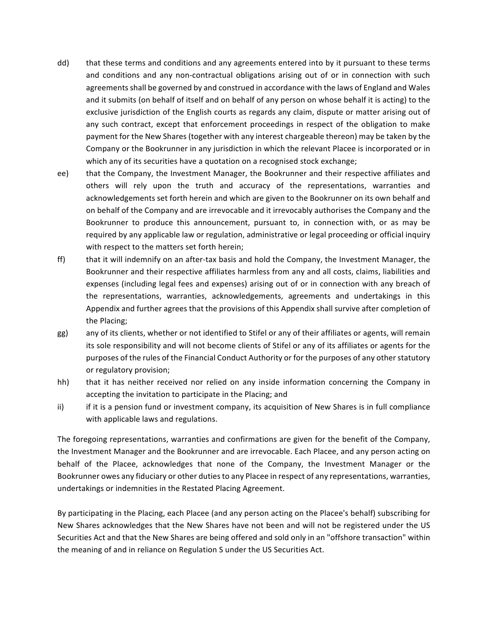- dd) that these terms and conditions and any agreements entered into by it pursuant to these terms and conditions and any non-contractual obligations arising out of or in connection with such agreements shall be governed by and construed in accordance with the laws of England and Wales and it submits (on behalf of itself and on behalf of any person on whose behalf it is acting) to the exclusive jurisdiction of the English courts as regards any claim, dispute or matter arising out of any such contract, except that enforcement proceedings in respect of the obligation to make payment for the New Shares (together with any interest chargeable thereon) may be taken by the Company or the Bookrunner in any jurisdiction in which the relevant Placee is incorporated or in which any of its securities have a quotation on a recognised stock exchange;
- ee) that the Company, the Investment Manager, the Bookrunner and their respective affiliates and others will rely upon the truth and accuracy of the representations, warranties and acknowledgements set forth herein and which are given to the Bookrunner on its own behalf and on behalf of the Company and are irrevocable and it irrevocably authorises the Company and the Bookrunner to produce this announcement, pursuant to, in connection with, or as may be required by any applicable law or regulation, administrative or legal proceeding or official inquiry with respect to the matters set forth herein;
- ff) that it will indemnify on an after-tax basis and hold the Company, the Investment Manager, the Bookrunner and their respective affiliates harmless from any and all costs, claims, liabilities and expenses (including legal fees and expenses) arising out of or in connection with any breach of the representations, warranties, acknowledgements, agreements and undertakings in this Appendix and further agrees that the provisions of this Appendix shall survive after completion of the Placing;
- gg) any of its clients, whether or not identified to Stifel or any of their affiliates or agents, will remain its sole responsibility and will not become clients of Stifel or any of its affiliates or agents for the purposes of the rules of the Financial Conduct Authority or for the purposes of any other statutory or regulatory provision;
- hh) that it has neither received nor relied on any inside information concerning the Company in accepting the invitation to participate in the Placing; and
- ii) if it is a pension fund or investment company, its acquisition of New Shares is in full compliance with applicable laws and regulations.

The foregoing representations, warranties and confirmations are given for the benefit of the Company, the Investment Manager and the Bookrunner and are irrevocable. Each Placee, and any person acting on behalf of the Placee, acknowledges that none of the Company, the Investment Manager or the Bookrunner owes any fiduciary or other duties to any Placee in respect of any representations, warranties, undertakings or indemnities in the Restated Placing Agreement.

By participating in the Placing, each Placee (and any person acting on the Placee's behalf) subscribing for New Shares acknowledges that the New Shares have not been and will not be registered under the US Securities Act and that the New Shares are being offered and sold only in an "offshore transaction" within the meaning of and in reliance on Regulation S under the US Securities Act.